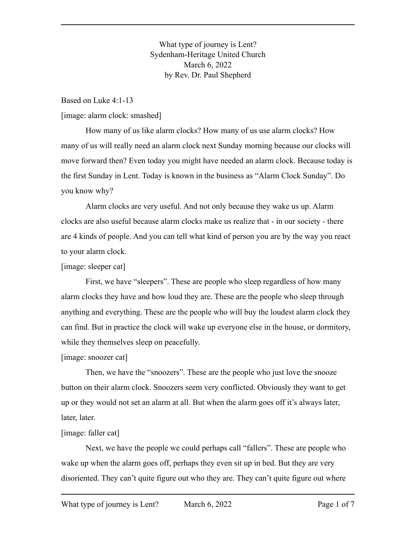What type of journey is Lent? Sydenham-Heritage United Church March 6, 2022 by Rev. Dr. Paul Shepherd

Based on Luke 4:1-13

[image: alarm clock: smashed]

How many of us like alarm clocks? How many of us use alarm clocks? How many of us will really need an alarm clock next Sunday morning because our clocks will move forward then? Even today you might have needed an alarm clock. Because today is the first Sunday in Lent. Today is known in the business as "Alarm Clock Sunday". Do you know why?

Alarm clocks are very useful. And not only because they wake us up. Alarm clocks are also useful because alarm clocks make us realize that - in our society - there are 4 kinds of people. And you can tell what kind of person you are by the way you react to your alarm clock.

#### [image: sleeper cat]

First, we have "sleepers". These are people who sleep regardless of how many alarm clocks they have and how loud they are. These are the people who sleep through anything and everything. These are the people who will buy the loudest alarm clock they can find. But in practice the clock will wake up everyone else in the house, or dormitory, while they themselves sleep on peacefully.

#### [image: snoozer cat]

Then, we have the "snoozers". These are the people who just love the snooze button on their alarm clock. Snoozers seem very conflicted. Obviously they want to get up or they would not set an alarm at all. But when the alarm goes off it's always later, later, later.

### [image: faller cat]

Next, we have the people we could perhaps call "fallers". These are people who wake up when the alarm goes off, perhaps they even sit up in bed. But they are very disoriented. They can't quite figure out who they are. They can't quite figure out where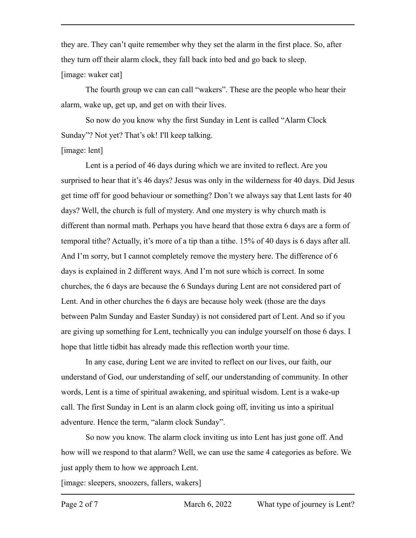they are. They can't quite remember why they set the alarm in the first place. So, after they turn off their alarm clock, they fall back into bed and go back to sleep. [image: waker cat]

The fourth group we can can call "wakers". These are the people who hear their alarm, wake up, get up, and get on with their lives.

So now do you know why the first Sunday in Lent is called "Alarm Clock Sunday"? Not yet? That's ok! I'll keep talking.

### [image: lent]

Lent is a period of 46 days during which we are invited to reflect. Are you surprised to hear that it's 46 days? Jesus was only in the wilderness for 40 days. Did Jesus get time off for good behaviour or something? Don't we always say that Lent lasts for 40 days? Well, the church is full of mystery. And one mystery is why church math is different than normal math. Perhaps you have heard that those extra 6 days are a form of temporal tithe? Actually, it's more of a tip than a tithe. 15% of 40 days is 6 days after all. And I'm sorry, but I cannot completely remove the mystery here. The difference of 6 days is explained in 2 different ways. And I'm not sure which is correct. In some churches, the 6 days are because the 6 Sundays during Lent are not considered part of Lent. And in other churches the 6 days are because holy week (those are the days between Palm Sunday and Easter Sunday) is not considered part of Lent. And so if you are giving up something for Lent, technically you can indulge yourself on those 6 days. I hope that little tidbit has already made this reflection worth your time.

In any case, during Lent we are invited to reflect on our lives, our faith, our understand of God, our understanding of self, our understanding of community. In other words, Lent is a time of spiritual awakening, and spiritual wisdom. Lent is a wake-up call. The first Sunday in Lent is an alarm clock going off, inviting us into a spiritual adventure. Hence the term, "alarm clock Sunday".

So now you know. The alarm clock inviting us into Lent has just gone off. And how will we respond to that alarm? Well, we can use the same 4 categories as before. We just apply them to how we approach Lent.

[image: sleepers, snoozers, fallers, wakers]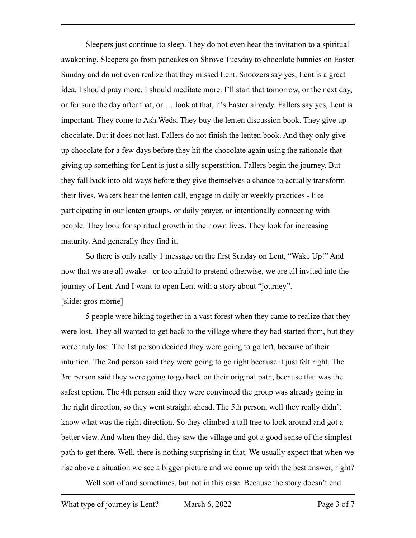Sleepers just continue to sleep. They do not even hear the invitation to a spiritual awakening. Sleepers go from pancakes on Shrove Tuesday to chocolate bunnies on Easter Sunday and do not even realize that they missed Lent. Snoozers say yes, Lent is a great idea. I should pray more. I should meditate more. I'll start that tomorrow, or the next day, or for sure the day after that, or … look at that, it's Easter already. Fallers say yes, Lent is important. They come to Ash Weds. They buy the lenten discussion book. They give up chocolate. But it does not last. Fallers do not finish the lenten book. And they only give up chocolate for a few days before they hit the chocolate again using the rationale that giving up something for Lent is just a silly superstition. Fallers begin the journey. But they fall back into old ways before they give themselves a chance to actually transform their lives. Wakers hear the lenten call, engage in daily or weekly practices - like participating in our lenten groups, or daily prayer, or intentionally connecting with people. They look for spiritual growth in their own lives. They look for increasing maturity. And generally they find it.

So there is only really 1 message on the first Sunday on Lent, "Wake Up!" And now that we are all awake - or too afraid to pretend otherwise, we are all invited into the journey of Lent. And I want to open Lent with a story about "journey". [slide: gros morne]

5 people were hiking together in a vast forest when they came to realize that they were lost. They all wanted to get back to the village where they had started from, but they were truly lost. The 1st person decided they were going to go left, because of their intuition. The 2nd person said they were going to go right because it just felt right. The 3rd person said they were going to go back on their original path, because that was the safest option. The 4th person said they were convinced the group was already going in the right direction, so they went straight ahead. The 5th person, well they really didn't know what was the right direction. So they climbed a tall tree to look around and got a better view. And when they did, they saw the village and got a good sense of the simplest path to get there. Well, there is nothing surprising in that. We usually expect that when we rise above a situation we see a bigger picture and we come up with the best answer, right?

Well sort of and sometimes, but not in this case. Because the story doesn't end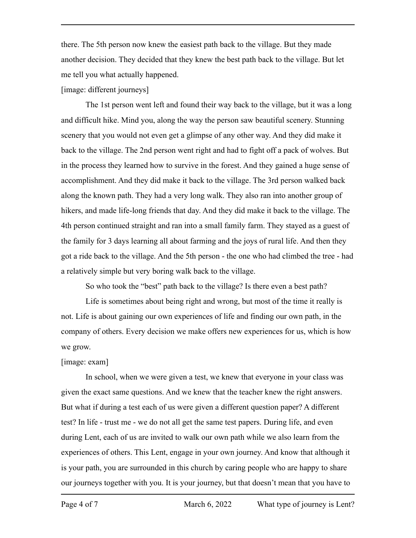there. The 5th person now knew the easiest path back to the village. But they made another decision. They decided that they knew the best path back to the village. But let me tell you what actually happened.

## [image: different journeys]

The 1st person went left and found their way back to the village, but it was a long and difficult hike. Mind you, along the way the person saw beautiful scenery. Stunning scenery that you would not even get a glimpse of any other way. And they did make it back to the village. The 2nd person went right and had to fight off a pack of wolves. But in the process they learned how to survive in the forest. And they gained a huge sense of accomplishment. And they did make it back to the village. The 3rd person walked back along the known path. They had a very long walk. They also ran into another group of hikers, and made life-long friends that day. And they did make it back to the village. The 4th person continued straight and ran into a small family farm. They stayed as a guest of the family for 3 days learning all about farming and the joys of rural life. And then they got a ride back to the village. And the 5th person - the one who had climbed the tree - had a relatively simple but very boring walk back to the village.

So who took the "best" path back to the village? Is there even a best path?

Life is sometimes about being right and wrong, but most of the time it really is not. Life is about gaining our own experiences of life and finding our own path, in the company of others. Every decision we make offers new experiences for us, which is how we grow.

# [image: exam]

In school, when we were given a test, we knew that everyone in your class was given the exact same questions. And we knew that the teacher knew the right answers. But what if during a test each of us were given a different question paper? A different test? In life - trust me - we do not all get the same test papers. During life, and even during Lent, each of us are invited to walk our own path while we also learn from the experiences of others. This Lent, engage in your own journey. And know that although it is your path, you are surrounded in this church by caring people who are happy to share our journeys together with you. It is your journey, but that doesn't mean that you have to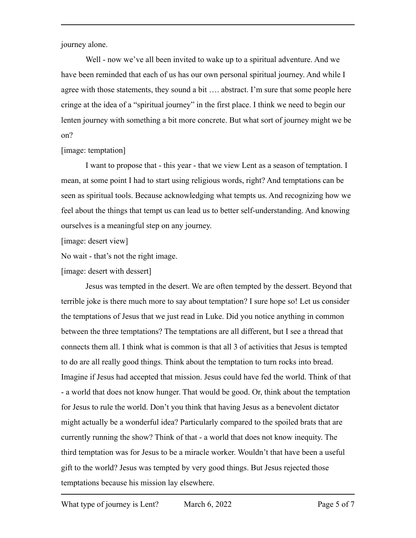journey alone.

Well - now we've all been invited to wake up to a spiritual adventure. And we have been reminded that each of us has our own personal spiritual journey. And while I agree with those statements, they sound a bit …. abstract. I'm sure that some people here cringe at the idea of a "spiritual journey" in the first place. I think we need to begin our lenten journey with something a bit more concrete. But what sort of journey might we be on?

# [image: temptation]

I want to propose that - this year - that we view Lent as a season of temptation. I mean, at some point I had to start using religious words, right? And temptations can be seen as spiritual tools. Because acknowledging what tempts us. And recognizing how we feel about the things that tempt us can lead us to better self-understanding. And knowing ourselves is a meaningful step on any journey.

[image: desert view]

No wait - that's not the right image.

[image: desert with dessert]

Jesus was tempted in the desert. We are often tempted by the dessert. Beyond that terrible joke is there much more to say about temptation? I sure hope so! Let us consider the temptations of Jesus that we just read in Luke. Did you notice anything in common between the three temptations? The temptations are all different, but I see a thread that connects them all. I think what is common is that all 3 of activities that Jesus is tempted to do are all really good things. Think about the temptation to turn rocks into bread. Imagine if Jesus had accepted that mission. Jesus could have fed the world. Think of that - a world that does not know hunger. That would be good. Or, think about the temptation for Jesus to rule the world. Don't you think that having Jesus as a benevolent dictator might actually be a wonderful idea? Particularly compared to the spoiled brats that are currently running the show? Think of that - a world that does not know inequity. The third temptation was for Jesus to be a miracle worker. Wouldn't that have been a useful gift to the world? Jesus was tempted by very good things. But Jesus rejected those temptations because his mission lay elsewhere.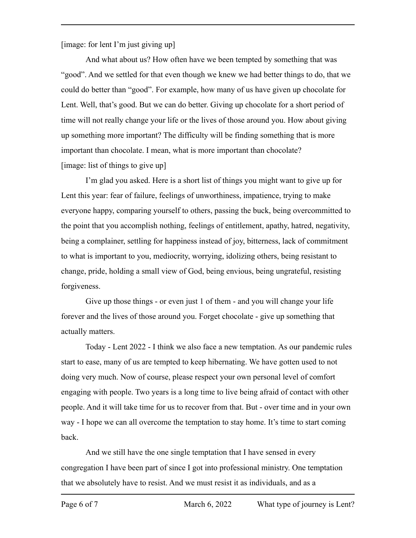[image: for lent I'm just giving up]

And what about us? How often have we been tempted by something that was "good". And we settled for that even though we knew we had better things to do, that we could do better than "good". For example, how many of us have given up chocolate for Lent. Well, that's good. But we can do better. Giving up chocolate for a short period of time will not really change your life or the lives of those around you. How about giving up something more important? The difficulty will be finding something that is more important than chocolate. I mean, what is more important than chocolate? [image: list of things to give up]

I'm glad you asked. Here is a short list of things you might want to give up for Lent this year: fear of failure, feelings of unworthiness, impatience, trying to make everyone happy, comparing yourself to others, passing the buck, being overcommitted to the point that you accomplish nothing, feelings of entitlement, apathy, hatred, negativity, being a complainer, settling for happiness instead of joy, bitterness, lack of commitment to what is important to you, mediocrity, worrying, idolizing others, being resistant to change, pride, holding a small view of God, being envious, being ungrateful, resisting forgiveness.

Give up those things - or even just 1 of them - and you will change your life forever and the lives of those around you. Forget chocolate - give up something that actually matters.

Today - Lent 2022 - I think we also face a new temptation. As our pandemic rules start to ease, many of us are tempted to keep hibernating. We have gotten used to not doing very much. Now of course, please respect your own personal level of comfort engaging with people. Two years is a long time to live being afraid of contact with other people. And it will take time for us to recover from that. But - over time and in your own way - I hope we can all overcome the temptation to stay home. It's time to start coming back.

And we still have the one single temptation that I have sensed in every congregation I have been part of since I got into professional ministry. One temptation that we absolutely have to resist. And we must resist it as individuals, and as a